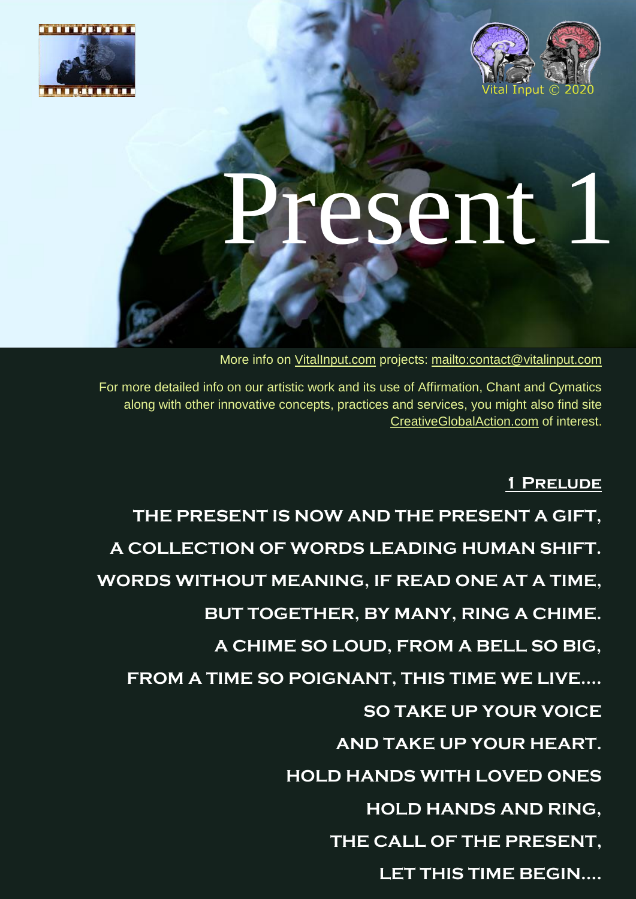



# resent 1

More info on [VitalInput.com](http://vitalinput.com/) projects:<mailto:contact@vitalinput.com>

For more detailed info on our artistic work and its use of Affirmation, Chant and Cymatics along with other innovative concepts, practices and services, you might also find site [CreativeGlobalAction.com](http://creativeglobalaction.com/) of interest.

#### **1 Prelude**

## **THE PRESENT IS NOW AND THE PRESENT A GIFT, A COLLECTION OF WORDS LEADING HUMAN SHIFT. WORDS WITHOUT MEANING, IF READ ONE AT A TIME, BUT TOGETHER, BY MANY, RING A CHIME. A CHIME SO LOUD, FROM A BELL SO BIG, FROM A TIME SO POIGNANT, THIS TIME WE LIVE.... SO TAKE UP YOUR VOICE AND TAKE UP YOUR HEART. HOLD HANDS WITH LOVED ONES HOLD HANDS AND RING, THE CALL OF THE PRESENT, LET THIS TIME BEGIN....**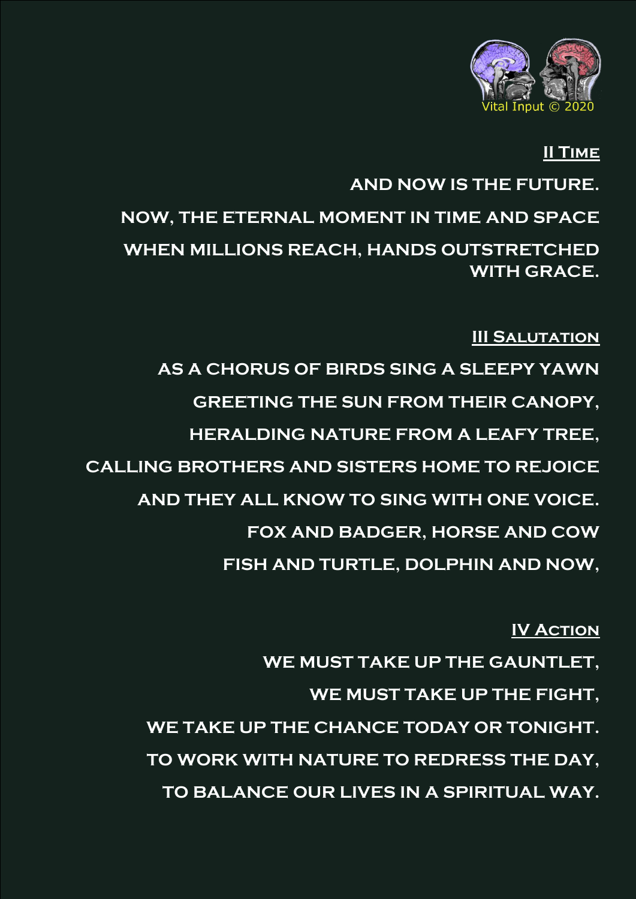

#### **II Time**

**AND NOW IS THE FUTURE. NOW, THE ETERNAL MOMENT IN TIME AND SPACE WHEN MILLIONS REACH, HANDS OUTSTRETCHED WITH GRACE.**

**III SALUTATION AS A CHORUS OF BIRDS SING A SLEEPY YAWN GREETING THE SUN FROM THEIR CANOPY, HERALDING NATURE FROM A LEAFY TREE, CALLING BROTHERS AND SISTERS HOME TO REJOICE AND THEY ALL KNOW TO SING WITH ONE VOICE. FOX AND BADGER, HORSE AND COW FISH AND TURTLE, DOLPHIN AND NOW,**

**IV Action**

**WE MUST TAKE UP THE GAUNTLET, WE MUST TAKE UP THE FIGHT, WE TAKE UP THE CHANCE TODAY OR TONIGHT. TO WORK WITH NATURE TO REDRESS THE DAY, TO BALANCE OUR LIVES IN A SPIRITUAL WAY.**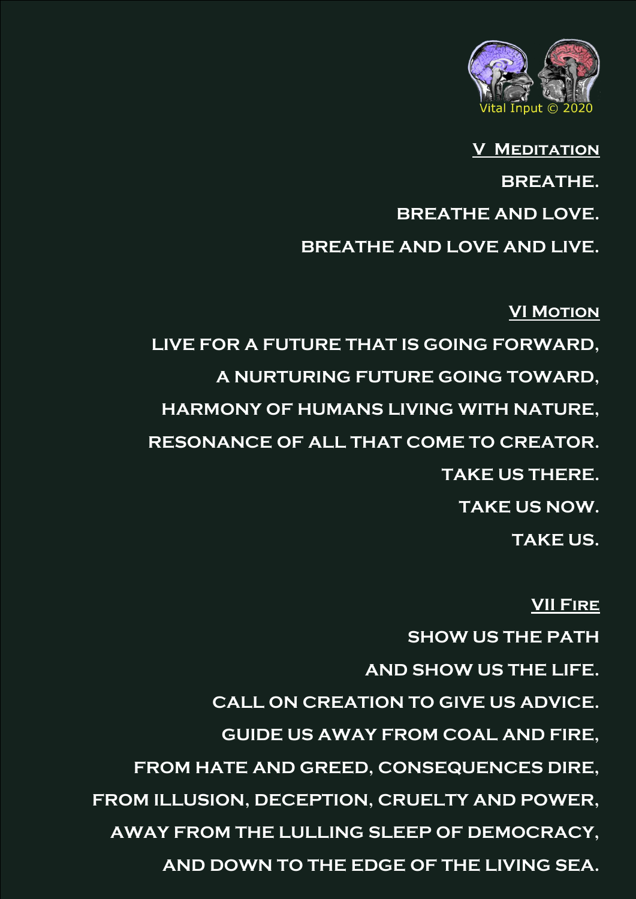

### **V Meditation BREATHE. BREATHE AND LOVE. BREATHE AND LOVE AND LIVE.**

#### **VI MOTION**

**LIVE FOR A FUTURE THAT IS GOING FORWARD, A NURTURING FUTURE GOING TOWARD, HARMONY OF HUMANS LIVING WITH NATURE, RESONANCE OF ALL THAT COME TO CREATOR. TAKE US THERE. TAKE US NOW. TAKE US.**

#### **VII Fire**

**SHOW US THE PATH AND SHOW US THE LIFE. CALL ON CREATION TO GIVE US ADVICE. GUIDE US AWAY FROM COAL AND FIRE, FROM HATE AND GREED, CONSEQUENCES DIRE, FROM ILLUSION, DECEPTION, CRUELTY AND POWER, AWAY FROM THE LULLING SLEEP OF DEMOCRACY, AND DOWN TO THE EDGE OF THE LIVING SEA.**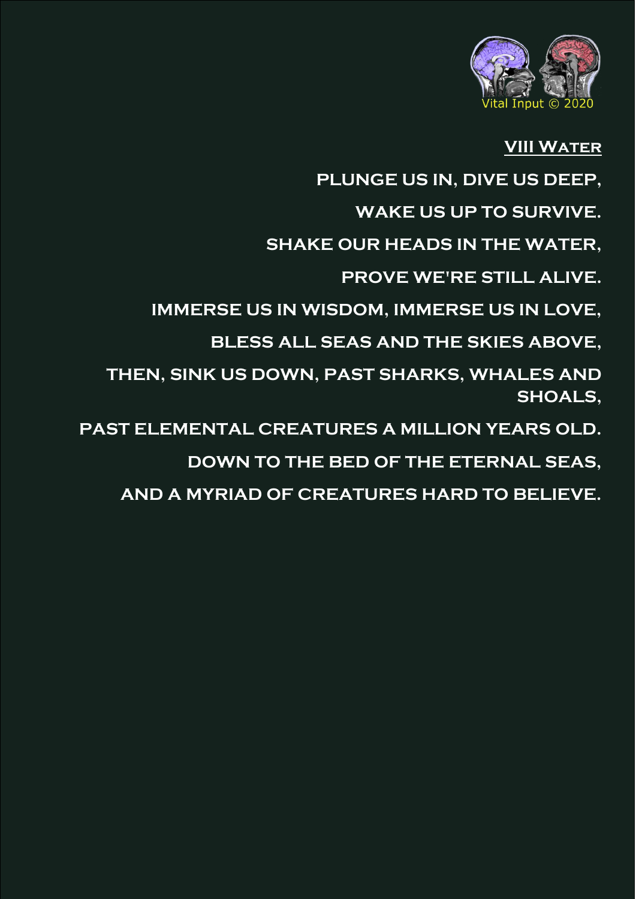

#### **VIII Water**

**PLUNGE US IN, DIVE US DEEP,** 

**WAKE US UP TO SURVIVE.**

**SHAKE OUR HEADS IN THE WATER,**

**PROVE WE'RE STILL ALIVE.**

**IMMERSE US IN WISDOM, IMMERSE US IN LOVE,**

**BLESS ALL SEAS AND THE SKIES ABOVE,**

**THEN, SINK US DOWN, PAST SHARKS, WHALES AND SHOALS,**

**PAST ELEMENTAL CREATURES A MILLION YEARS OLD.**

**DOWN TO THE BED OF THE ETERNAL SEAS,**

**AND A MYRIAD OF CREATURES HARD TO BELIEVE.**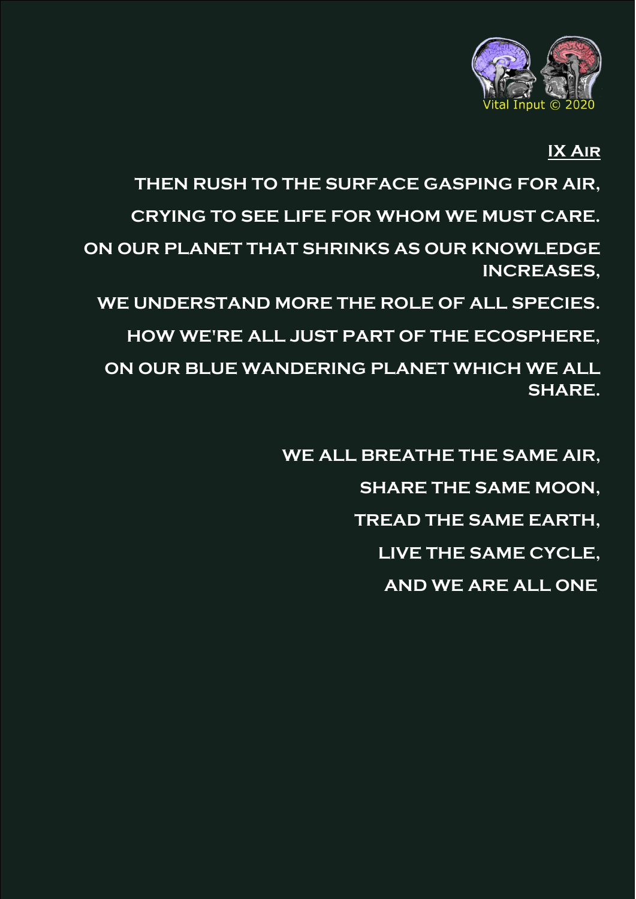

#### **IX Air**

**THEN RUSH TO THE SURFACE GASPING FOR AIR,**

**CRYING TO SEE LIFE FOR WHOM WE MUST CARE.**

**ON OUR PLANET THAT SHRINKS AS OUR KNOWLEDGE INCREASES,**

**WE UNDERSTAND MORE THE ROLE OF ALL SPECIES.**

**HOW WE'RE ALL JUST PART OF THE ECOSPHERE,**

**ON OUR BLUE WANDERING PLANET WHICH WE ALL SHARE.**

> **WE ALL BREATHE THE SAME AIR, SHARE THE SAME MOON, TREAD THE SAME EARTH, LIVE THE SAME CYCLE, AND WE ARE ALL ONE**.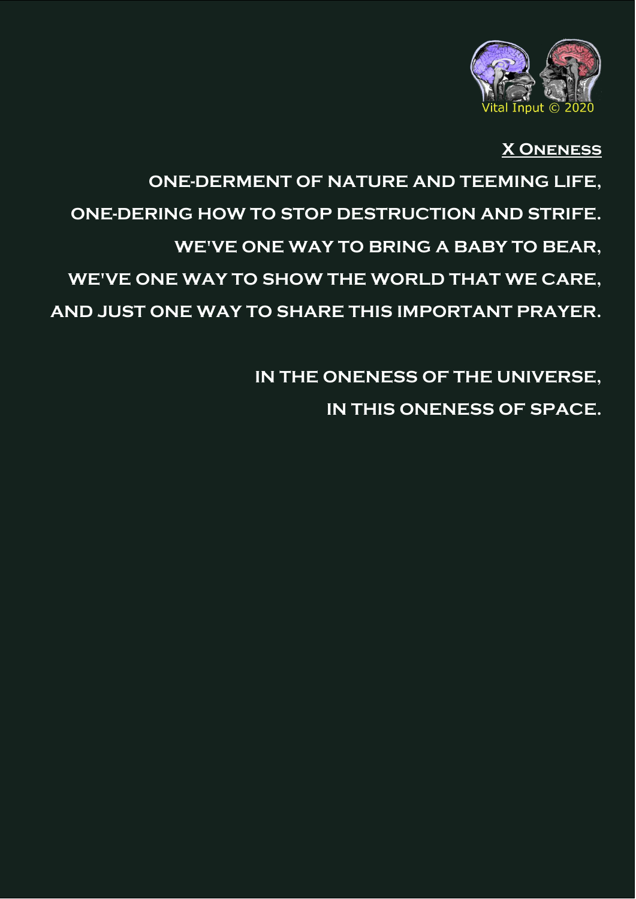

#### **X Oneness**

## **ONE-DERMENT OF NATURE AND TEEMING LIFE, ONE-DERING HOW TO STOP DESTRUCTION AND STRIFE. WE'VE ONE WAY TO BRING A BABY TO BEAR, WE'VE ONE WAY TO SHOW THE WORLD THAT WE CARE, AND JUST ONE WAY TO SHARE THIS IMPORTANT PRAYER.**

**IN THE ONENESS OF THE UNIVERSE, IN THIS ONENESS OF SPACE.**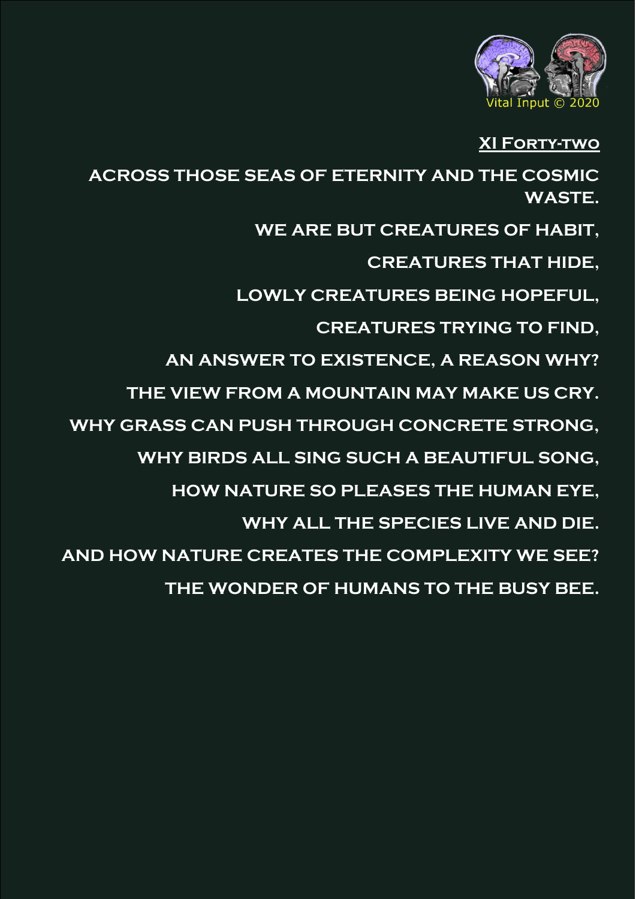

#### **XI Forty-two**

**ACROSS THOSE SEAS OF ETERNITY AND THE COSMIC WASTE. WE ARE BUT CREATURES OF HABIT, CREATURES THAT HIDE, LOWLY CREATURES BEING HOPEFUL, CREATURES TRYING TO FIND, AN ANSWER TO EXISTENCE, A REASON WHY? THE VIEW FROM A MOUNTAIN MAY MAKE US CRY. WHY GRASS CAN PUSH THROUGH CONCRETE STRONG, WHY BIRDS ALL SING SUCH A BEAUTIFUL SONG, HOW NATURE SO PLEASES THE HUMAN EYE, WHY ALL THE SPECIES LIVE AND DIE. AND HOW NATURE CREATES THE COMPLEXITY WE SEE? THE WONDER OF HUMANS TO THE BUSY BEE.**